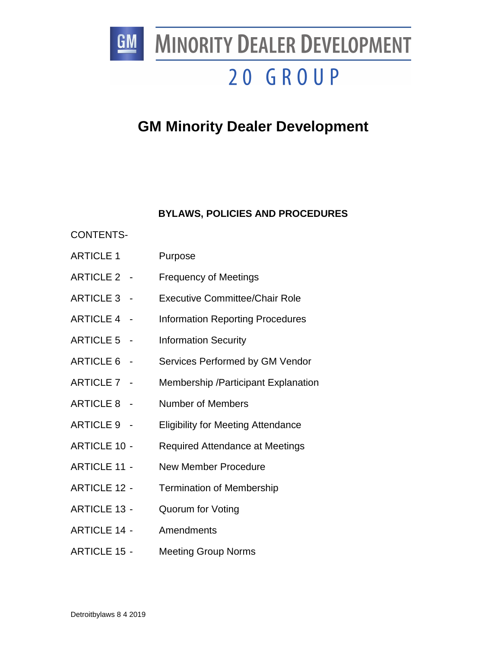

**MINORITY DEALER DEVELOPMENT** 

# 20 GROUP

# **GM Minority Dealer Development**

# **BYLAWS, POLICIES AND PROCEDURES**

# CONTENTS-

- ARTICLE 1 Purpose
- ARTICLE 2 Frequency of Meetings
- ARTICLE 3 Executive Committee/Chair Role
- ARTICLE 4 Information Reporting Procedures
- ARTICLE 5 Information Security
- ARTICLE 6 Services Performed by GM Vendor
- ARTICLE 7 Membership /Participant Explanation
- ARTICLE 8 Number of Members
- ARTICLE 9 Eligibility for Meeting Attendance
- ARTICLE 10 Required Attendance at Meetings
- ARTICLE 11 New Member Procedure
- ARTICLE 12 Termination of Membership
- ARTICLE 13 Quorum for Voting
- ARTICLE 14 Amendments
- ARTICLE 15 Meeting Group Norms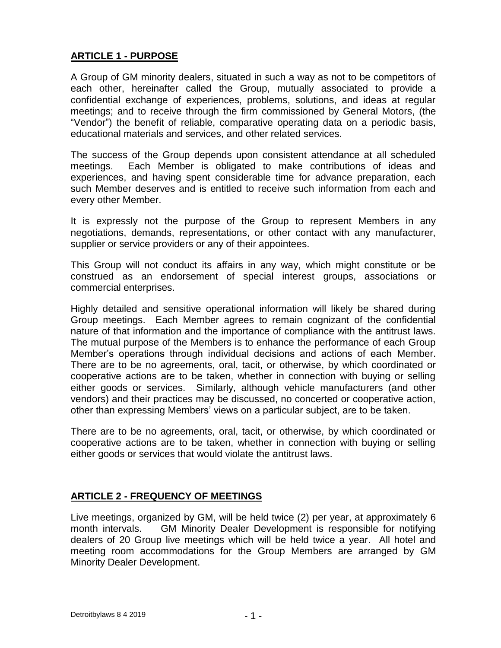# **ARTICLE 1 - PURPOSE**

A Group of GM minority dealers, situated in such a way as not to be competitors of each other, hereinafter called the Group, mutually associated to provide a confidential exchange of experiences, problems, solutions, and ideas at regular meetings; and to receive through the firm commissioned by General Motors, (the "Vendor") the benefit of reliable, comparative operating data on a periodic basis, educational materials and services, and other related services.

The success of the Group depends upon consistent attendance at all scheduled meetings. Each Member is obligated to make contributions of ideas and experiences, and having spent considerable time for advance preparation, each such Member deserves and is entitled to receive such information from each and every other Member.

It is expressly not the purpose of the Group to represent Members in any negotiations, demands, representations, or other contact with any manufacturer, supplier or service providers or any of their appointees.

This Group will not conduct its affairs in any way, which might constitute or be construed as an endorsement of special interest groups, associations or commercial enterprises.

Highly detailed and sensitive operational information will likely be shared during Group meetings. Each Member agrees to remain cognizant of the confidential nature of that information and the importance of compliance with the antitrust laws. The mutual purpose of the Members is to enhance the performance of each Group Member's operations through individual decisions and actions of each Member. There are to be no agreements, oral, tacit, or otherwise, by which coordinated or cooperative actions are to be taken, whether in connection with buying or selling either goods or services. Similarly, although vehicle manufacturers (and other vendors) and their practices may be discussed, no concerted or cooperative action, other than expressing Members' views on a particular subject, are to be taken.

There are to be no agreements, oral, tacit, or otherwise, by which coordinated or cooperative actions are to be taken, whether in connection with buying or selling either goods or services that would violate the antitrust laws.

# **ARTICLE 2 - FREQUENCY OF MEETINGS**

Live meetings, organized by GM, will be held twice (2) per year, at approximately 6 month intervals. GM Minority Dealer Development is responsible for notifying dealers of 20 Group live meetings which will be held twice a year. All hotel and meeting room accommodations for the Group Members are arranged by GM Minority Dealer Development.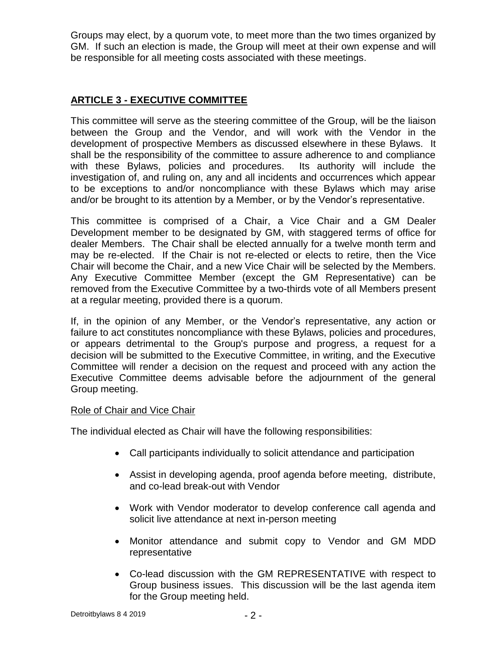Groups may elect, by a quorum vote, to meet more than the two times organized by GM. If such an election is made, the Group will meet at their own expense and will be responsible for all meeting costs associated with these meetings.

# **ARTICLE 3 - EXECUTIVE COMMITTEE**

This committee will serve as the steering committee of the Group, will be the liaison between the Group and the Vendor, and will work with the Vendor in the development of prospective Members as discussed elsewhere in these Bylaws. It shall be the responsibility of the committee to assure adherence to and compliance with these Bylaws, policies and procedures. Its authority will include the investigation of, and ruling on, any and all incidents and occurrences which appear to be exceptions to and/or noncompliance with these Bylaws which may arise and/or be brought to its attention by a Member, or by the Vendor's representative.

This committee is comprised of a Chair, a Vice Chair and a GM Dealer Development member to be designated by GM, with staggered terms of office for dealer Members. The Chair shall be elected annually for a twelve month term and may be re-elected. If the Chair is not re-elected or elects to retire, then the Vice Chair will become the Chair, and a new Vice Chair will be selected by the Members. Any Executive Committee Member (except the GM Representative) can be removed from the Executive Committee by a two-thirds vote of all Members present at a regular meeting, provided there is a quorum.

If, in the opinion of any Member, or the Vendor's representative, any action or failure to act constitutes noncompliance with these Bylaws, policies and procedures, or appears detrimental to the Group's purpose and progress, a request for a decision will be submitted to the Executive Committee, in writing, and the Executive Committee will render a decision on the request and proceed with any action the Executive Committee deems advisable before the adjournment of the general Group meeting.

#### Role of Chair and Vice Chair

The individual elected as Chair will have the following responsibilities:

- Call participants individually to solicit attendance and participation
- Assist in developing agenda, proof agenda before meeting, distribute, and co-lead break-out with Vendor
- Work with Vendor moderator to develop conference call agenda and solicit live attendance at next in-person meeting
- Monitor attendance and submit copy to Vendor and GM MDD representative
- Co-lead discussion with the GM REPRESENTATIVE with respect to Group business issues. This discussion will be the last agenda item for the Group meeting held.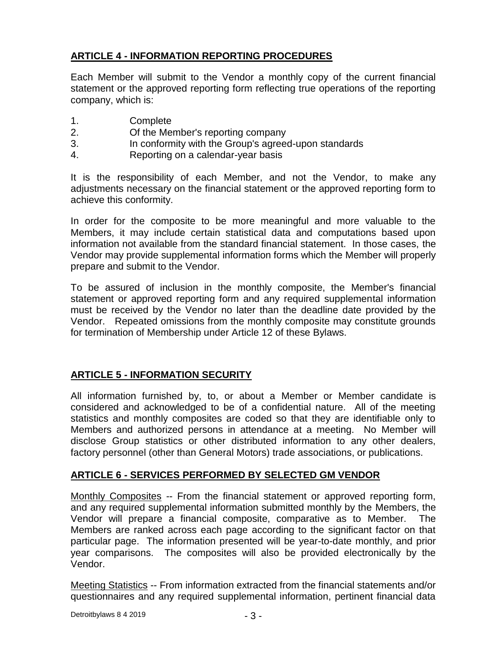# **ARTICLE 4 - INFORMATION REPORTING PROCEDURES**

Each Member will submit to the Vendor a monthly copy of the current financial statement or the approved reporting form reflecting true operations of the reporting company, which is:

- 1. Complete
- 2. Of the Member's reporting company
- 3. In conformity with the Group's agreed-upon standards
- 4. Reporting on a calendar-year basis

It is the responsibility of each Member, and not the Vendor, to make any adjustments necessary on the financial statement or the approved reporting form to achieve this conformity.

In order for the composite to be more meaningful and more valuable to the Members, it may include certain statistical data and computations based upon information not available from the standard financial statement. In those cases, the Vendor may provide supplemental information forms which the Member will properly prepare and submit to the Vendor.

To be assured of inclusion in the monthly composite, the Member's financial statement or approved reporting form and any required supplemental information must be received by the Vendor no later than the deadline date provided by the Vendor. Repeated omissions from the monthly composite may constitute grounds for termination of Membership under Article 12 of these Bylaws.

# **ARTICLE 5 - INFORMATION SECURITY**

All information furnished by, to, or about a Member or Member candidate is considered and acknowledged to be of a confidential nature. All of the meeting statistics and monthly composites are coded so that they are identifiable only to Members and authorized persons in attendance at a meeting. No Member will disclose Group statistics or other distributed information to any other dealers, factory personnel (other than General Motors) trade associations, or publications.

# **ARTICLE 6 - SERVICES PERFORMED BY SELECTED GM VENDOR**

Monthly Composites -- From the financial statement or approved reporting form, and any required supplemental information submitted monthly by the Members, the Vendor will prepare a financial composite, comparative as to Member. The Members are ranked across each page according to the significant factor on that particular page. The information presented will be year-to-date monthly, and prior year comparisons. The composites will also be provided electronically by the Vendor.

Meeting Statistics -- From information extracted from the financial statements and/or questionnaires and any required supplemental information, pertinent financial data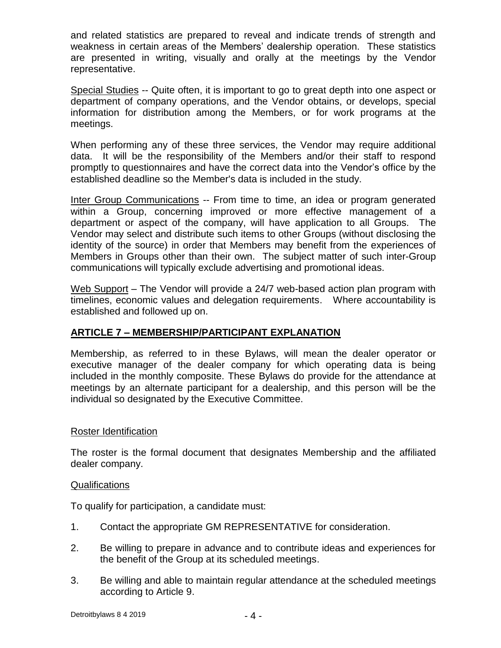and related statistics are prepared to reveal and indicate trends of strength and weakness in certain areas of the Members' dealership operation. These statistics are presented in writing, visually and orally at the meetings by the Vendor representative.

Special Studies -- Quite often, it is important to go to great depth into one aspect or department of company operations, and the Vendor obtains, or develops, special information for distribution among the Members, or for work programs at the meetings.

When performing any of these three services, the Vendor may require additional data. It will be the responsibility of the Members and/or their staff to respond promptly to questionnaires and have the correct data into the Vendor's office by the established deadline so the Member's data is included in the study.

Inter Group Communications -- From time to time, an idea or program generated within a Group, concerning improved or more effective management of a department or aspect of the company, will have application to all Groups. The Vendor may select and distribute such items to other Groups (without disclosing the identity of the source) in order that Members may benefit from the experiences of Members in Groups other than their own. The subject matter of such inter-Group communications will typically exclude advertising and promotional ideas.

Web Support – The Vendor will provide a 24/7 web-based action plan program with timelines, economic values and delegation requirements. Where accountability is established and followed up on.

# **ARTICLE 7 – MEMBERSHIP/PARTICIPANT EXPLANATION**

Membership, as referred to in these Bylaws, will mean the dealer operator or executive manager of the dealer company for which operating data is being included in the monthly composite. These Bylaws do provide for the attendance at meetings by an alternate participant for a dealership, and this person will be the individual so designated by the Executive Committee.

#### Roster Identification

The roster is the formal document that designates Membership and the affiliated dealer company.

#### Qualifications

To qualify for participation, a candidate must:

- 1. Contact the appropriate GM REPRESENTATIVE for consideration.
- 2. Be willing to prepare in advance and to contribute ideas and experiences for the benefit of the Group at its scheduled meetings.
- 3. Be willing and able to maintain regular attendance at the scheduled meetings according to Article 9.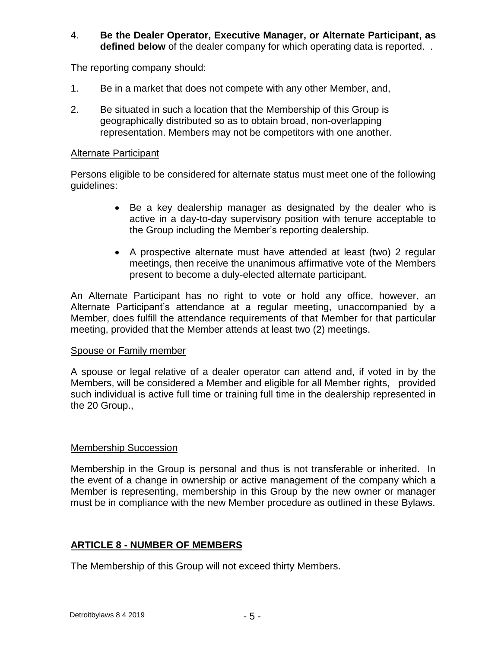#### 4. **Be the Dealer Operator, Executive Manager, or Alternate Participant, as defined below** of the dealer company for which operating data is reported. .

The reporting company should:

- 1. Be in a market that does not compete with any other Member, and,
- 2. Be situated in such a location that the Membership of this Group is geographically distributed so as to obtain broad, non-overlapping representation. Members may not be competitors with one another.

#### Alternate Participant

Persons eligible to be considered for alternate status must meet one of the following guidelines:

- Be a key dealership manager as designated by the dealer who is active in a day-to-day supervisory position with tenure acceptable to the Group including the Member's reporting dealership.
- A prospective alternate must have attended at least (two) 2 regular meetings, then receive the unanimous affirmative vote of the Members present to become a duly-elected alternate participant.

An Alternate Participant has no right to vote or hold any office, however, an Alternate Participant's attendance at a regular meeting, unaccompanied by a Member, does fulfill the attendance requirements of that Member for that particular meeting, provided that the Member attends at least two (2) meetings.

#### Spouse or Family member

A spouse or legal relative of a dealer operator can attend and, if voted in by the Members, will be considered a Member and eligible for all Member rights, provided such individual is active full time or training full time in the dealership represented in the 20 Group.,

#### Membership Succession

Membership in the Group is personal and thus is not transferable or inherited. In the event of a change in ownership or active management of the company which a Member is representing, membership in this Group by the new owner or manager must be in compliance with the new Member procedure as outlined in these Bylaws.

#### **ARTICLE 8 - NUMBER OF MEMBERS**

The Membership of this Group will not exceed thirty Members.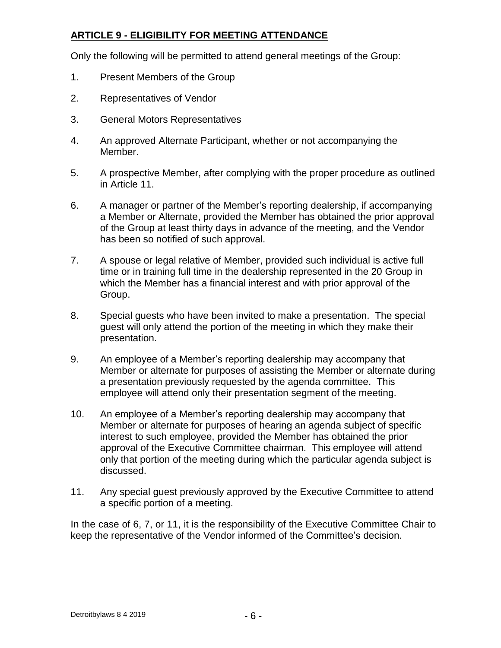# **ARTICLE 9 - ELIGIBILITY FOR MEETING ATTENDANCE**

Only the following will be permitted to attend general meetings of the Group:

- 1. Present Members of the Group
- 2. Representatives of Vendor
- 3. General Motors Representatives
- 4. An approved Alternate Participant, whether or not accompanying the Member.
- 5. A prospective Member, after complying with the proper procedure as outlined in Article 11.
- 6. A manager or partner of the Member's reporting dealership, if accompanying a Member or Alternate, provided the Member has obtained the prior approval of the Group at least thirty days in advance of the meeting, and the Vendor has been so notified of such approval.
- 7. A spouse or legal relative of Member, provided such individual is active full time or in training full time in the dealership represented in the 20 Group in which the Member has a financial interest and with prior approval of the Group.
- 8. Special guests who have been invited to make a presentation. The special guest will only attend the portion of the meeting in which they make their presentation.
- 9. An employee of a Member's reporting dealership may accompany that Member or alternate for purposes of assisting the Member or alternate during a presentation previously requested by the agenda committee. This employee will attend only their presentation segment of the meeting.
- 10. An employee of a Member's reporting dealership may accompany that Member or alternate for purposes of hearing an agenda subject of specific interest to such employee, provided the Member has obtained the prior approval of the Executive Committee chairman. This employee will attend only that portion of the meeting during which the particular agenda subject is discussed.
- 11. Any special guest previously approved by the Executive Committee to attend a specific portion of a meeting.

In the case of 6, 7, or 11, it is the responsibility of the Executive Committee Chair to keep the representative of the Vendor informed of the Committee's decision.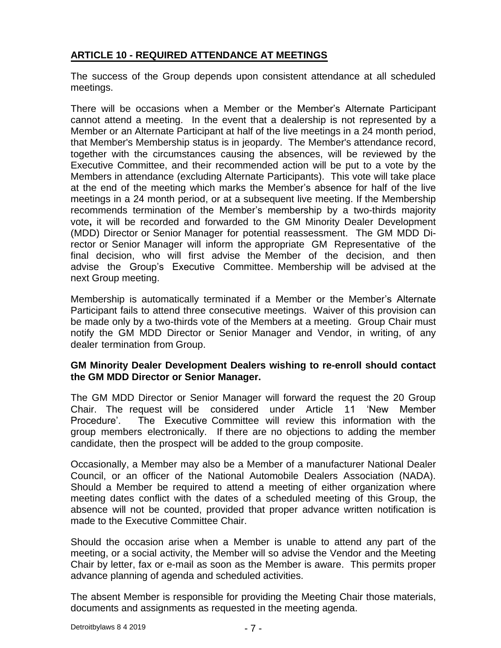# **ARTICLE 10 - REQUIRED ATTENDANCE AT MEETINGS**

The success of the Group depends upon consistent attendance at all scheduled meetings.

There will be occasions when a Member or the Member's Alternate Participant cannot attend a meeting. In the event that a dealership is not represented by a Member or an Alternate Participant at half of the live meetings in a 24 month period, that Member's Membership status is in jeopardy. The Member's attendance record, together with the circumstances causing the absences, will be reviewed by the Executive Committee, and their recommended action will be put to a vote by the Members in attendance (excluding Alternate Participants). This vote will take place at the end of the meeting which marks the Member's absence for half of the live meetings in a 24 month period, or at a subsequent live meeting. If the Membership recommends termination of the Member's membership by a two-thirds majority vote**,** it will be recorded and forwarded to the GM Minority Dealer Development (MDD) Director or Senior Manager for potential reassessment. The GM MDD Director or Senior Manager will inform the appropriate GM Representative of the final decision, who will first advise the Member of the decision, and then advise the Group's Executive Committee. Membership will be advised at the next Group meeting.

Membership is automatically terminated if a Member or the Member's Alternate Participant fails to attend three consecutive meetings. Waiver of this provision can be made only by a two-thirds vote of the Members at a meeting. Group Chair must notify the GM MDD Director or Senior Manager and Vendor, in writing, of any dealer termination from Group.

#### **GM Minority Dealer Development Dealers wishing to re-enroll should contact the GM MDD Director or Senior Manager.**

The GM MDD Director or Senior Manager will forward the request the 20 Group Chair. The request will be considered under Article 11 'New Member Procedure'. The Executive Committee will review this information with the group members electronically. If there are no objections to adding the member candidate, then the prospect will be added to the group composite.

Occasionally, a Member may also be a Member of a manufacturer National Dealer Council, or an officer of the National Automobile Dealers Association (NADA). Should a Member be required to attend a meeting of either organization where meeting dates conflict with the dates of a scheduled meeting of this Group, the absence will not be counted, provided that proper advance written notification is made to the Executive Committee Chair.

Should the occasion arise when a Member is unable to attend any part of the meeting, or a social activity, the Member will so advise the Vendor and the Meeting Chair by letter, fax or e-mail as soon as the Member is aware. This permits proper advance planning of agenda and scheduled activities.

The absent Member is responsible for providing the Meeting Chair those materials, documents and assignments as requested in the meeting agenda.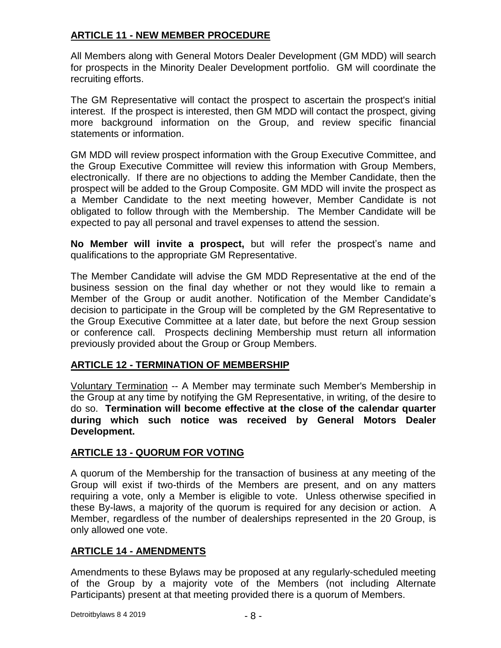# **ARTICLE 11 - NEW MEMBER PROCEDURE**

All Members along with General Motors Dealer Development (GM MDD) will search for prospects in the Minority Dealer Development portfolio. GM will coordinate the recruiting efforts.

The GM Representative will contact the prospect to ascertain the prospect's initial interest. If the prospect is interested, then GM MDD will contact the prospect, giving more background information on the Group, and review specific financial statements or information.

GM MDD will review prospect information with the Group Executive Committee, and the Group Executive Committee will review this information with Group Members, electronically. If there are no objections to adding the Member Candidate, then the prospect will be added to the Group Composite. GM MDD will invite the prospect as a Member Candidate to the next meeting however, Member Candidate is not obligated to follow through with the Membership. The Member Candidate will be expected to pay all personal and travel expenses to attend the session.

**No Member will invite a prospect,** but will refer the prospect's name and qualifications to the appropriate GM Representative.

The Member Candidate will advise the GM MDD Representative at the end of the business session on the final day whether or not they would like to remain a Member of the Group or audit another. Notification of the Member Candidate's decision to participate in the Group will be completed by the GM Representative to the Group Executive Committee at a later date, but before the next Group session or conference call. Prospects declining Membership must return all information previously provided about the Group or Group Members.

#### **ARTICLE 12 - TERMINATION OF MEMBERSHIP**

Voluntary Termination -- A Member may terminate such Member's Membership in the Group at any time by notifying the GM Representative, in writing, of the desire to do so. **Termination will become effective at the close of the calendar quarter during which such notice was received by General Motors Dealer Development.**

#### **ARTICLE 13 - QUORUM FOR VOTING**

A quorum of the Membership for the transaction of business at any meeting of the Group will exist if two-thirds of the Members are present, and on any matters requiring a vote, only a Member is eligible to vote. Unless otherwise specified in these By-laws, a majority of the quorum is required for any decision or action. A Member, regardless of the number of dealerships represented in the 20 Group, is only allowed one vote.

#### **ARTICLE 14 - AMENDMENTS**

Amendments to these Bylaws may be proposed at any regularly-scheduled meeting of the Group by a majority vote of the Members (not including Alternate Participants) present at that meeting provided there is a quorum of Members.